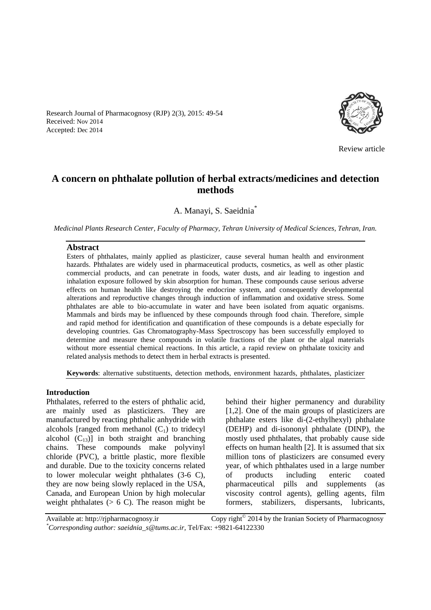Research Journal of Pharmacognosy (RJP) 2(3), 2015: 49-54 Received: Nov 2014 Accepted: Dec 2014



Review article

# **A concern on phthalate pollution of herbal extracts/medicines and detection methods**

A. Manayi, S. Saeidnia\*

*Medicinal Plants Research Center, Faculty of Pharmacy, Tehran University of Medical Sciences, Tehran, Iran.*

#### **Abstract**

Esters of phthalates, mainly applied as plasticizer, cause several human health and environment hazards. Phthalates are widely used in pharmaceutical products, cosmetics, as well as other plastic commercial products, and can penetrate in foods, water dusts, and air leading to ingestion and inhalation exposure followed by skin absorption for human. These compounds cause serious adverse effects on human health like destroying the endocrine system, and consequently developmental alterations and reproductive changes through induction of inflammation and oxidative stress. Some phthalates are able to bio-accumulate in water and have been isolated from aquatic organisms. Mammals and birds may be influenced by these compounds through food chain. Therefore, simple and rapid method for identification and quantification of these compounds is a debate especially for developing countries. Gas Chromatography-Mass Spectroscopy has been successfully employed to determine and measure these compounds in volatile fractions of the plant or the algal materials without more essential chemical reactions. In this article, a rapid review on phthalate toxicity and related analysis methods to detect them in herbal extracts is presented.

**Keywords**: alternative substituents, detection methods, environment hazards, phthalates, plasticizer

#### **Introduction**

Phthalates, referred to the esters of phthalic acid, are mainly used as plasticizers. They are manufactured by reacting phthalic anhydride with alcohols [ranged from methanol  $(C_1)$  to tridecyl alcohol  $(C_{13})$ ] in both straight and branching chains. These compounds make polyvinyl chloride (PVC), a brittle plastic, more flexible and durable. Due to the toxicity concerns related to lower molecular weight phthalates (3-6 C), they are now being slowly replaced in the USA, Canada, and European Union by high molecular weight phthalates  $(> 6 C)$ . The reason might be behind their higher permanency and durability [1,2]. One of the main groups of plasticizers are phthalate esters like di-(2-ethylhexyl) phthalate (DEHP) and di-isononyl phthalate (DINP), the mostly used phthalates, that probably cause side effects on human health [2]. It is assumed that six million tons of plasticizers are consumed every year, of which phthalates used in a large number of products including enteric coated pharmaceutical pills and supplements (as viscosity control agents), gelling agents, film formers, stabilizers, dispersants, lubricants,

Available at: http://rjpharmacognosy.ir Copy right $^{\circ}$  2014 by the Iranian Society of Pharmacognosy *\*Corresponding author: saeidnia\_s@tums.ac.ir,* Tel/Fax: +9821-64122330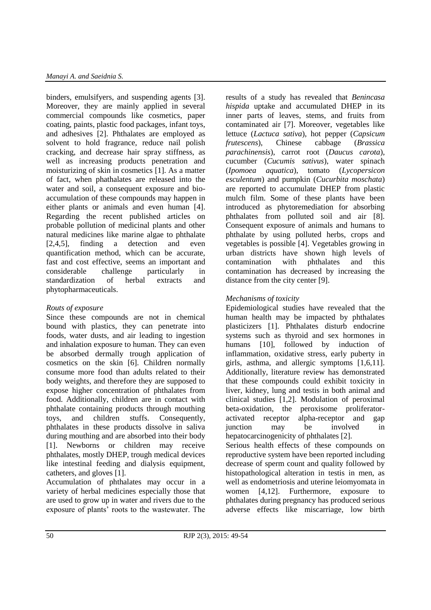binders, emulsifyers, and suspending agents [3]. Moreover, they are mainly applied in several commercial compounds like cosmetics, paper coating, paints, plastic food packages, infant toys, and adhesives [2]. Phthalates are employed as solvent to hold fragrance, reduce nail polish cracking, and decrease hair spray stiffness, as well as increasing products penetration and moisturizing of skin in cosmetics [1]. As a matter of fact, when phathalates are released into the water and soil, a consequent exposure and bioaccumulation of these compounds may happen in either plants or animals and even human [4]. Regarding the recent published articles on probable pollution of medicinal plants and other natural medicines like marine algae to phthalate [2,4,5], finding a detection and even quantification method, which can be accurate, fast and cost effective, seems an important and considerable challenge particularly in standardization of herbal extracts and phytopharmaceuticals.

### *Routs of exposure*

Since these compounds are not in chemical bound with plastics, they can penetrate into foods, water dusts, and air leading to ingestion and inhalation exposure to human. They can even be absorbed dermally trough application of cosmetics on the skin [6]. Children normally consume more food than adults related to their body weights, and therefore they are supposed to expose higher concentration of phthalates from food. Additionally, children are in contact with phthalate containing products through mouthing toys, and children stuffs. Consequently, phthalates in these products dissolve in saliva during mouthing and are absorbed into their body [1]. Newborns or children may receive phthalates, mostly DHEP, trough medical devices like intestinal feeding and dialysis equipment, catheters, and gloves [1].

Accumulation of phthalates may occur in a variety of herbal medicines especially those that are used to grow up in water and rivers due to the exposure of plants' roots to the wastewater. The results of a study has revealed that *Benincasa hispida* uptake and accumulated DHEP in its inner parts of leaves, stems, and fruits from contaminated air [7]. Moreover, vegetables like lettuce (*Lactuca sativa*), hot pepper (*Capsicum frutescens*), Chinese cabbage (*Brassica parachinensis*), carrot root (*Daucus carota*), cucumber (*Cucumis sativus*), water spinach (*Ipomoea aquatica*), tomato (*Lycopersicon esculentum*) and pumpkin (*Cucurbita moschata*) are reported to accumulate DHEP from plastic mulch film. Some of these plants have been introduced as phytoremediation for absorbing phthalates from polluted soil and air [8]. Consequent exposure of animals and humans to phthalate by using polluted herbs, crops and vegetables is possible [4]. Vegetables growing in urban districts have shown high levels of contamination with phthalates and this contamination has decreased by increasing the distance from the city center [9].

# *Mechanisms of toxicity*

Epidemiological studies have revealed that the human health may be impacted by phthalates plasticizers [1]. Phthalates disturb endocrine systems such as thyroid and sex hormones in humans [10], followed by induction of inflammation, oxidative stress, early puberty in girls, asthma, and allergic symptoms [1,6,11]. Additionally, literature review has demonstrated that these compounds could exhibit toxicity in liver, kidney, lung and testis in both animal and clinical studies [1,2]. Modulation of peroximal beta-oxidation, the peroxisome proliferatoractivated receptor alpha-receptor and gap junction may be involved in hepatocarcinogenicity of phthalates [2].

Serious health effects of these compounds on reproductive system have been reported including decrease of sperm count and quality followed by histopathological alteration in testis in men, as well as endometriosis and uterine leiomyomata in women [4,12]. Furthermore, exposure to phthalates during pregnancy has produced serious adverse effects like miscarriage, low birth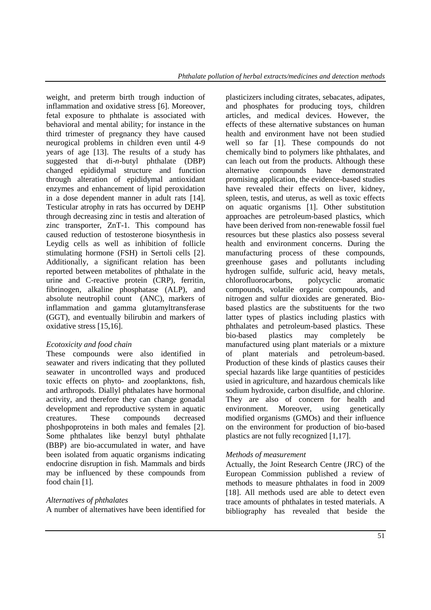weight, and preterm birth trough induction of inflammation and oxidative stress [6]. Moreover, fetal exposure to phthalate is associated with behavioral and mental ability; for instance in the third trimester of pregnancy they have caused neurogical problems in children even until 4-9 years of age [13]. The results of a study has suggested that di-*n*-butyl phthalate (DBP) changed epididymal structure and function through alteration of epididymal antioxidant enzymes and enhancement of lipid peroxidation in a dose dependent manner in adult rats [14]. Testicular atrophy in rats has occurred by DEHP through decreasing zinc in testis and alteration of zinc transporter, ZnT-1. This compound has caused reduction of testosterone biosynthesis in Leydig cells as well as inhibition of follicle stimulating hormone (FSH) in Sertoli cells [2]. Additionally, a significant relation has been reported between metabolites of phthalate in the urine and C-reactive protein (CRP), ferritin, fibrinogen, alkaline phosphatase (ALP), and absolute neutrophil count (ANC), markers of inflammation and gamma glutamyltransferase (GGT), and eventually bilirubin and markers of oxidative stress [15,16].

# *Ecotoxicity and food chain*

These compounds were also identified in seawater and rivers indicating that they polluted seawater in uncontrolled ways and produced toxic effects on phyto- and zooplanktons, fish, and arthropods. Diallyl phthalates have hormonal activity, and therefore they can change gonadal development and reproductive system in aquatic creatures. These compounds decreased phoshpoproteins in both males and females [2]. Some phthalates like benzyl butyl phthalate (BBP) are bio-accumulated in water, and have been isolated from aquatic organisms indicating endocrine disruption in fish. Mammals and birds may be influenced by these compounds from food chain [1].

# *Alternatives of phthalates*

A number of alternatives have been identified for

plasticizers including citrates, sebacates, adipates, and phosphates for producing toys, children articles, and medical devices. However, the effects of these alternative substances on human health and environment have not been studied well so far [1]. These compounds do not chemically bind to polymers like phthalates, and can leach out from the products. Although these alternative compounds have demonstrated promising application, the evidence-based studies have revealed their effects on liver, kidney, spleen, testis, and uterus, as well as toxic effects on aquatic organisms [1]. Other substitution approaches are petroleum-based plastics, which have been derived from non-renewable fossil fuel resources but these plastics also possess several health and environment concerns. During the manufacturing process of these compounds, greenhouse gases and pollutants including hydrogen sulfide, sulfuric acid, heavy metals, chlorofluorocarbons, polycyclic aromatic compounds, volatile organic compounds, and nitrogen and sulfur dioxides are generated. Biobased plastics are the substituents for the two latter types of plastics including plastics with phthalates and petroleum-based plastics. These bio-based plastics may completely be manufactured using plant materials or a mixture of plant materials and petroleum-based. Production of these kinds of plastics causes their special hazards like large quantities of pesticides usied in agriculture, and hazardous chemicals like sodium hydroxide, carbon disulfide, and chlorine. They are also of concern for health and environment. Moreover, using genetically modified organisms (GMOs) and their influence on the environment for production of bio-based plastics are not fully recognized [1,17].

# *Methods of measurement*

Actually, the Joint Research Centre (JRC) of the European Commission published a review of methods to measure phthalates in food in 2009 [18]. All methods used are able to detect even trace amounts of phthalates in tested materials. A bibliography has revealed that beside the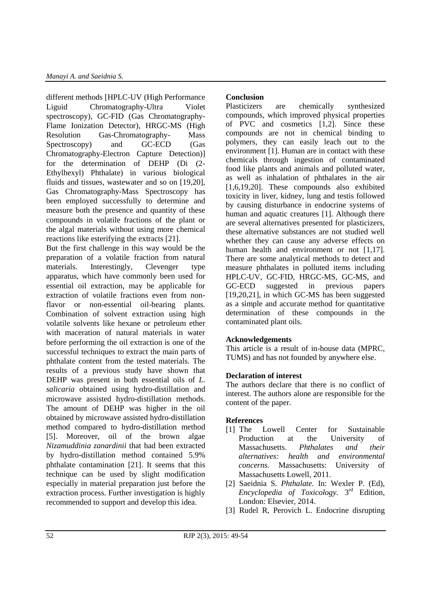different methods [HPLC-UV (High Performance Liguid Chromatography-Ultra Violet spectroscopy), GC-FID (Gas Chromatography-Flame Ionization Detector), HRGC-MS (High Resolution Gas-Chromatography- Mass Spectroscopy) and GC-ECD (Gas Chromatography-Electron Capture Detection)] for the determination of DEHP (Di (2- Ethylhexyl) Phthalate) in various biological fluids and tissues, wastewater and so on [19,20], Gas Chromatography-Mass Spectroscopy has been employed successfully to determine and measure both the presence and quantity of these compounds in volatile fractions of the plant or the algal materials without using more chemical reactions like esterifying the extracts [21].

But the first challenge in this way would be the preparation of a volatile fraction from natural materials. Interestingly, Clevenger type apparatus, which have commonly been used for essential oil extraction, may be applicable for extraction of volatile fractions even from nonflavor or non-essential oil-bearing plants. Combination of solvent extraction using high volatile solvents like hexane or petroleum ether with maceration of natural materials in water before performing the oil extraction is one of the successful techniques to extract the main parts of phthalate content from the tested materials. The results of a previous study have shown that DEHP was present in both essential oils of *L. salicaria* obtained using hydro-distillation and microwave assisted hydro-distillation methods. The amount of DEHP was higher in the oil obtained by microwave assisted hydro-distillation method compared to hydro-distillation method [5]. Moreover, oil of the brown algae *Nizamuddinia zanardinii* that had been extracted by hydro-distillation method contained 5.9% phthalate contamination [21]. It seems that this technique can be used by slight modification especially in material preparation just before the extraction process. Further investigation is highly recommended to support and develop this idea.

## **Conclusion**

Plasticizers are chemically synthesized compounds, which improved physical properties of PVC and cosmetics [1,2]. Since these compounds are not in chemical binding to polymers, they can easily leach out to the environment [1]. Human are in contact with these chemicals through ingestion of contaminated food like plants and animals and polluted water, as well as inhalation of phthalates in the air [1,6,19,20]. These compounds also exhibited toxicity in liver, kidney, lung and testis followed by causing disturbance in endocrine systems of human and aquatic creatures [1]. Although there are several alternatives presented for plasticizers, these alternative substances are not studied well whether they can cause any adverse effects on human health and environment or not [1,17]. There are some analytical methods to detect and measure phthalates in polluted items including HPLC-UV, GC-FID, HRGC-MS, GC-MS, and GC-ECD suggested in previous papers [19,20,21], in which GC-MS has been suggested as a simple and accurate method for quantitative determination of these compounds in the contaminated plant oils.

### **Acknowledgements**

This article is a result of in-house data (MPRC, TUMS) and has not founded by anywhere else.

### **Declaration of interest**

The authors declare that there is no conflict of interest. The authors alone are responsible for the content of the paper.

### **References**

- [1] The Lowell Center for Sustainable Production at the University of Massachusetts. *Phthalates and their alternatives: health and environmental concerns.* Massachusetts: University of Massachusetts Lowell, 2011.
- [2] Saeidnia S. *Phthalate.* In: Wexler P. (Ed), Encyclopedia of Toxicology. 3<sup>rd</sup> Edition, London: Elsevier, 2014.
- [3] Rudel R, Perovich L. Endocrine disrupting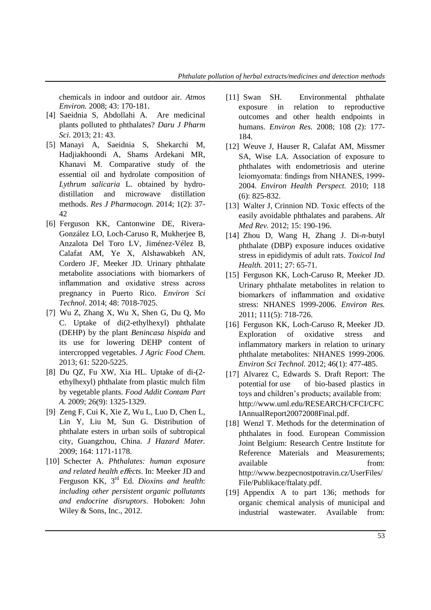chemicals in indoor and outdoor air. *Atmos Environ.* 2008; 43: 170-181.

- [4] Saeidnia S, Abdollahi A. Are medicinal plants polluted to phthalates? *Daru J Pharm Sci.* 2013; 21: 43.
- [5] Manayi A, Saeidnia S, Shekarchi M, Hadjiakhoondi A, Shams Ardekani MR, Khanavi M. Comparative study of the essential oil and hydrolate composition of *Lythrum salicaria* L. obtained by hydrodistillation and microwave distillation methods. *Res J Pharmacogn.* 2014; 1(2): 37- 42
- [6] Ferguson KK, Cantonwine DE, Rivera-González LO, Loch-Caruso R, Mukherjee B, Anzalota Del Toro LV, Jiménez-Vélez B, Calafat AM, Ye X, Alshawabkeh AN, Cordero JF, Meeker JD. Urinary phthalate metabolite associations with biomarkers of inflammation and oxidative stress across pregnancy in Puerto Rico. *Environ Sci Technol*. 2014; 48: 7018-7025.
- [7] Wu Z, Zhang X, Wu X, Shen G, Du Q, Mo C. Uptake of di(2-ethylhexyl) phthalate (DEHP) by the plant *Benincasa hispida* and its use for lowering DEHP content of intercropped vegetables*. J Agric Food Chem.* 2013; 61: 5220-5225.
- [8] Du QZ, Fu XW, Xia HL. Uptake of di-(2 ethylhexyl) phthalate from plastic mulch film by vegetable plants. *Food Addit Contam Part A.* 2009; 26(9): 1325-1329.
- [9] Zeng F, Cui K, Xie Z, Wu L, Luo D, Chen L, Lin Y, Liu M, Sun G. Distribution of phthalate esters in urban soils of subtropical city, Guangzhou, China. *J Hazard Mater.* 2009; 164: 1171-1178.
- [10] Schecter A. *Phthalates: human exposure and related health e*ff*ects*. In: Meeker JD and Ferguson KK, 3rd Ed. *Dioxins and health*: *including other persistent organic pollutants and endocrine disruptors*. Hoboken: John Wiley & Sons, Inc., 2012.
- [11] Swan SH. Environmental phthalate exposure in relation to reproductive outcomes and other health endpoints in humans. *Environ Res.* 2008; 108 (2): 177- 184.
- [12] Weuve J, Hauser R, Calafat AM, Missmer SA, Wise LA. Association of exposure to phthalates with endometriosis and uterine leiomyomata: findings from NHANES, 1999- 2004. *Environ Health Perspect.* 2010; 118 (6): 825-832.
- [13] Walter J, Crinnion ND. Toxic effects of the easily avoidable phthalates and parabens. *Alt Med Rev.* 2012; 15: 190-196.
- [14] Zhou D, Wang H, Zhang J. Di-*n*-butyl phthalate (DBP) exposure induces oxidative stress in epididymis of adult rats. *Toxicol Ind Health.* 2011; 27: 65-71.
- [15] Ferguson KK, Loch-Caruso R, Meeker JD. Urinary phthalate metabolites in relation to biomarkers of inflammation and oxidative stress: NHANES 1999-2006. *Environ Res.* 2011; 111(5): 718-726.
- [16] Ferguson KK, Loch-Caruso R, Meeker JD. Exploration of oxidative stress and inflammatory markers in relation to urinary phthalate metabolites: NHANES 1999-2006. *Environ Sci Technol.* 2012; 46(1): 477-485.
- [17] Alvarez C, Edwards S. Draft Report: The potential for use of bio-based plastics in toys and children's products; available from: http://www.uml.edu/RESEARCH/CFCI/CFC IAnnualReport20072008Final.pdf.
- [18] Wenzl T. Methods for the determination of phthalates in food*.* European Commission Joint Belgium: Research Centre Institute for Reference Materials and Measurements; available from: http://www.bezpecnostpotravin.cz/UserFiles/ File/Publikace/ftalaty.pdf.
- [19] Appendix A to part 136; methods for organic chemical analysis of municipal and industrial wastewater. Available from: